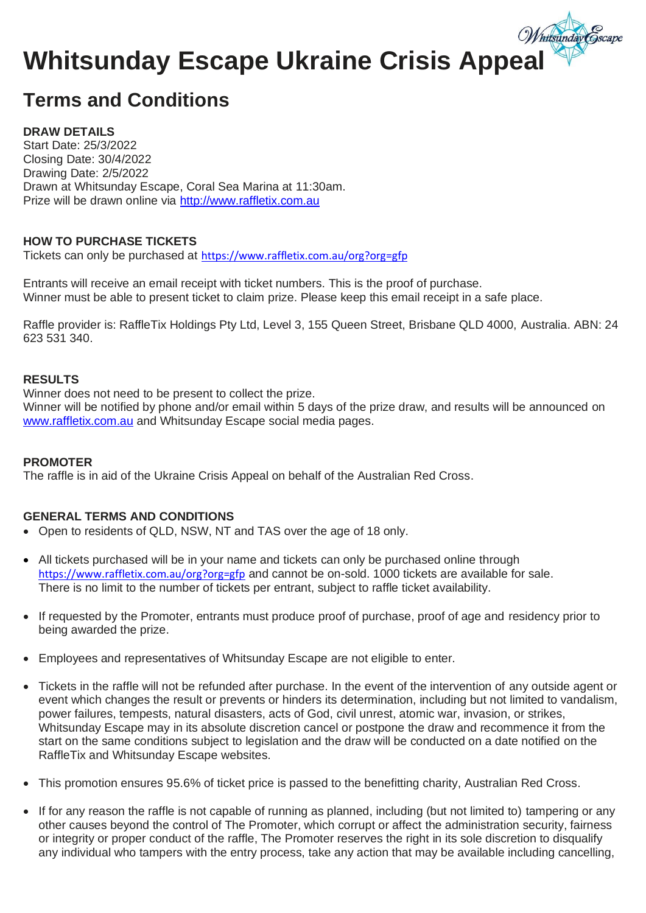## Whitsunday Escape Ukraine Crisis Appeal

## **Terms and Conditions**

#### **DRAW DETAILS**

Start Date: 25/3/2022 Closing Date: 30/4/2022 Drawing Date: 2/5/2022 Drawn at Whitsunday Escape, Coral Sea Marina at 11:30am. Prize will be drawn online via [http://www.raffletix.com.au](http://www.raffletix.com.au/)

#### **HOW TO PURCHASE TICKETS**

Tickets can only be purchased at <https://www.raffletix.com.au/org?org=gfp>

Entrants will receive an email receipt with ticket numbers. This is the proof of purchase. Winner must be able to present ticket to claim prize. Please keep this email receipt in a safe place.

Raffle provider is: RaffleTix Holdings Pty Ltd, Level 3, 155 Queen Street, Brisbane QLD 4000, Australia. ABN: 24 623 531 340.

#### **RESULTS**

Winner does not need to be present to collect the prize.

Winner will be notified by phone and/or email within 5 days of the prize draw, and results will be announced on [www.raffletix.com.au](http://www.raffletix.com.au/) and Whitsunday Escape social media pages.

#### **PROMOTER**

The raffle is in aid of the Ukraine Crisis Appeal on behalf of the Australian Red Cross.

#### **GENERAL TERMS AND CONDITIONS**

- Open to residents of QLD, NSW, NT and TAS over the age of 18 only.
- All tickets purchased will be in your name and tickets can only be purchased online through <https://www.raffletix.com.au/org?org=gfp> and cannot be on-sold. 1000 tickets are available for sale. There is no limit to the number of tickets per entrant, subject to raffle ticket availability.
- If requested by the Promoter, entrants must produce proof of purchase, proof of age and residency prior to being awarded the prize.
- Employees and representatives of Whitsunday Escape are not eligible to enter.
- Tickets in the raffle will not be refunded after purchase. In the event of the intervention of any outside agent or event which changes the result or prevents or hinders its determination, including but not limited to vandalism, power failures, tempests, natural disasters, acts of God, civil unrest, atomic war, invasion, or strikes, Whitsunday Escape may in its absolute discretion cancel or postpone the draw and recommence it from the start on the same conditions subject to legislation and the draw will be conducted on a date notified on the RaffleTix and Whitsunday Escape websites.
- This promotion ensures 95.6% of ticket price is passed to the benefitting charity, Australian Red Cross.
- If for any reason the raffle is not capable of running as planned, including (but not limited to) tampering or any other causes beyond the control of The Promoter, which corrupt or affect the administration security, fairness or integrity or proper conduct of the raffle, The Promoter reserves the right in its sole discretion to disqualify any individual who tampers with the entry process, take any action that may be available including cancelling,